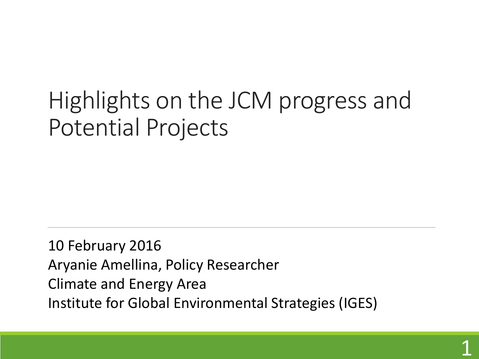## Highlights on the JCM progress and Potential Projects

10 February 2016 Aryanie Amellina, Policy Researcher Climate and Energy Area Institute for Global Environmental Strategies (IGES)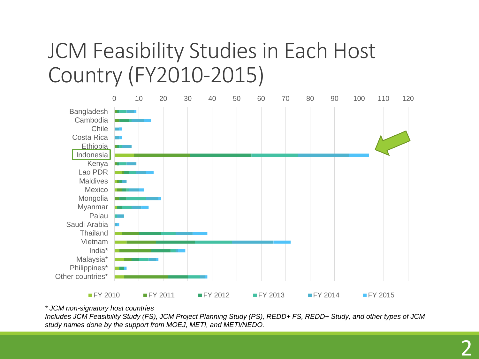### JCM Feasibility Studies in Each Host Country (FY2010-2015)



*\* JCM non-signatory host countries*

*Includes JCM Feasibility Study (FS), JCM Project Planning Study (PS), REDD+ FS, REDD+ Study, and other types of JCM study names done by the support from MOEJ, METI, and METI/NEDO.*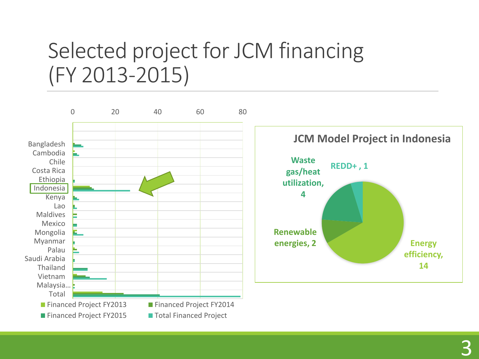### Selected project for JCM financing (FY 2013-2015)

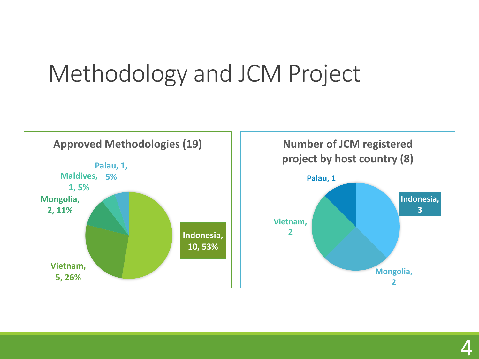## Methodology and JCM Project

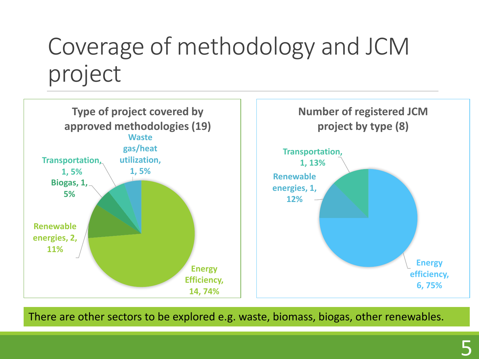## Coverage of methodology and JCM project



There are other sectors to be explored e.g. waste, biomass, biogas, other renewables.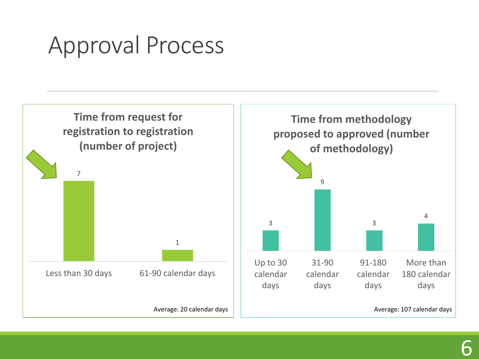## Approval Process

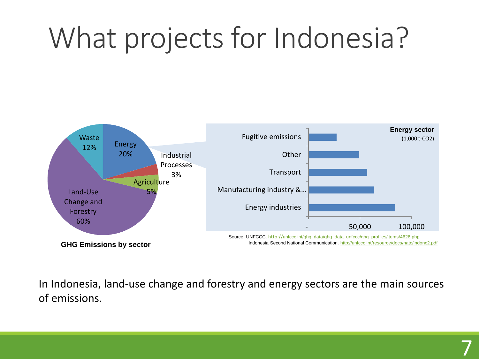# What projects for Indonesia?



In Indonesia, land-use change and forestry and energy sectors are the main sources of emissions.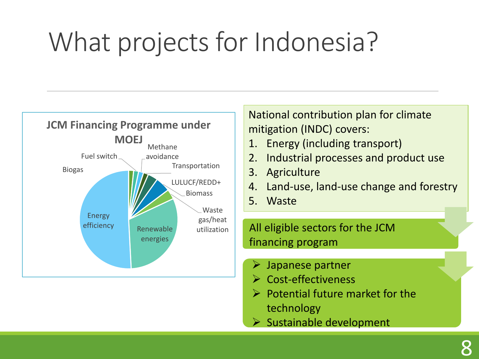# What projects for Indonesia?



National contribution plan for climate mitigation (INDC) covers:

- 1. Energy (including transport)
- 2. Industrial processes and product use
- 3. Agriculture
- 4. Land-use, land-use change and forestry
- 5. Waste

All eligible sectors for the JCM financing program

- Japanese partner
- **► Cost-effectiveness**
- $\triangleright$  Potential future market for the technology
- $\triangleright$  Sustainable development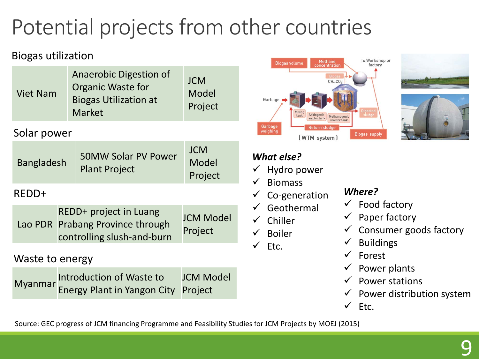## Potential projects from other countries

### Biogas utilization

| <b>Viet Nam</b>   | Anaerobic Digestion of<br>Organic Waste for<br><b>Biogas Utilization at</b><br>Market |                                                                                          | <b>JCM</b><br>Model<br>Project |
|-------------------|---------------------------------------------------------------------------------------|------------------------------------------------------------------------------------------|--------------------------------|
| Solar power       |                                                                                       |                                                                                          |                                |
| <b>Bangladesh</b> |                                                                                       | <b>50MW Solar PV Power</b><br><b>Plant Project</b>                                       | <b>JCM</b><br>Model<br>Project |
| REDD+             |                                                                                       |                                                                                          |                                |
|                   |                                                                                       | REDD+ project in Luang<br>Lao PDR Prabang Province through<br>controlling slush-and-burn | <b>JCM Model</b><br>Project    |
| Waste to energy   |                                                                                       |                                                                                          |                                |
| Myanmar           | Introduction of Waste to<br><b>Energy Plant in Yangon City</b>                        | <b>JCM Model</b><br>Project                                                              |                                |







#### *What else?*

- $\checkmark$  Hydro power
- $\checkmark$  Biomass
- $\checkmark$  Co-generation
- $\checkmark$  Geothermal
- $\checkmark$  Chiller
- $\checkmark$  Boiler
- $\checkmark$  Etc.

#### *Where?*

- $\checkmark$  Food factory
- $\checkmark$  Paper factory
- $\checkmark$  Consumer goods factory
- $\checkmark$  Buildings
- $\checkmark$  Forest
- $\checkmark$  Power plants
- $\checkmark$  Power stations
- $\checkmark$  Power distribution system
- $\checkmark$  Etc.

Source: GEC progress of JCM financing Programme and Feasibility Studies for JCM Projects by MOEJ (2015)